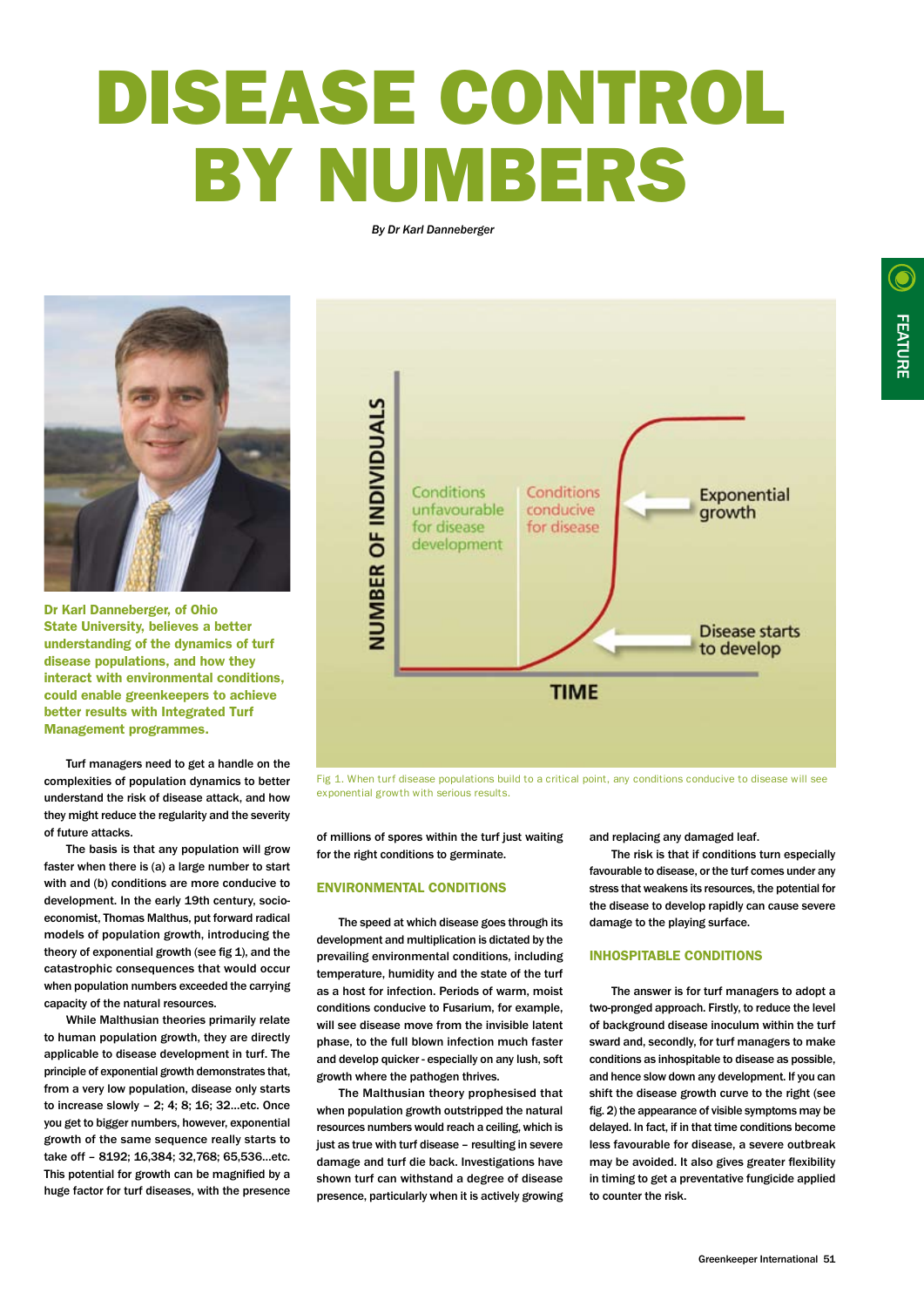# DISEASE CONTROL BY NUMBERS

*By Dr Karl Danneberger*



Dr Karl Danneberger, of Ohio State University, believes a better understanding of the dynamics of turf disease populations, and how they interact with environmental conditions, could enable greenkeepers to achieve better results with Integrated Turf Management programmes.

Turf managers need to get a handle on the complexities of population dynamics to better understand the risk of disease attack, and how they might reduce the regularity and the severity of future attacks.

The basis is that any population will grow faster when there is (a) a large number to start with and (b) conditions are more conducive to development. In the early 19th century, socioeconomist, Thomas Malthus, put forward radical models of population growth, introducing the theory of exponential growth (see fig 1), and the catastrophic consequences that would occur when population numbers exceeded the carrying capacity of the natural resources.

While Malthusian theories primarily relate to human population growth, they are directly applicable to disease development in turf. The principle of exponential growth demonstrates that, from a very low population, disease only starts to increase slowly – 2; 4; 8; 16; 32…etc. Once you get to bigger numbers, however, exponential growth of the same sequence really starts to take off – 8192; 16,384; 32,768; 65,536…etc. This potential for growth can be magnified by a huge factor for turf diseases, with the presence



Fig 1. When turf disease populations build to a critical point, any conditions conducive to disease will see exponential growth with serious results.

of millions of spores within the turf just waiting for the right conditions to germinate.

#### ENVIRONMENTAL CONDITIONS

The speed at which disease goes through its development and multiplication is dictated by the prevailing environmental conditions, including temperature, humidity and the state of the turf as a host for infection. Periods of warm, moist conditions conducive to Fusarium, for example, will see disease move from the invisible latent phase, to the full blown infection much faster and develop quicker - especially on any lush, soft growth where the pathogen thrives.

The Malthusian theory prophesised that when population growth outstripped the natural resources numbers would reach a ceiling, which is just as true with turf disease – resulting in severe damage and turf die back. Investigations have shown turf can withstand a degree of disease presence, particularly when it is actively growing and replacing any damaged leaf.

The risk is that if conditions turn especially favourable to disease, or the turf comes under any stress that weakens its resources, the potential for the disease to develop rapidly can cause severe damage to the playing surface.

## INHOSPITABLE CONDITIONS

The answer is for turf managers to adopt a two-pronged approach. Firstly, to reduce the level of background disease inoculum within the turf sward and, secondly, for turf managers to make conditions as inhospitable to disease as possible, and hence slow down any development. If you can shift the disease growth curve to the right (see fig. 2) the appearance of visible symptoms may be delayed. In fact, if in that time conditions become less favourable for disease, a severe outbreak may be avoided. It also gives greater flexibility in timing to get a preventative fungicide applied to counter the risk.